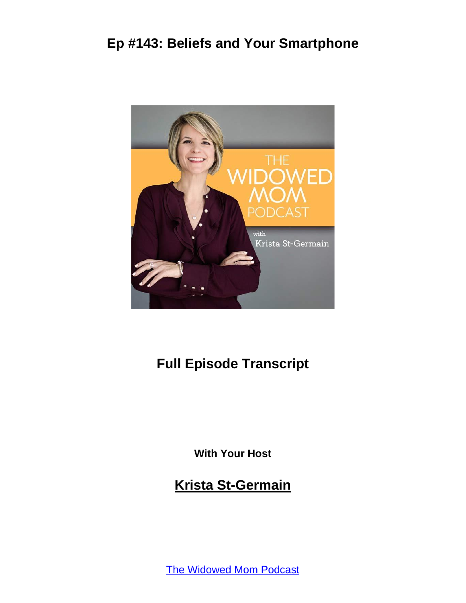

# **Full Episode Transcript**

**With Your Host**

**Krista St-Germain**

[The Widowed Mom Podcast](https://coachingwithkrista.com/podcast)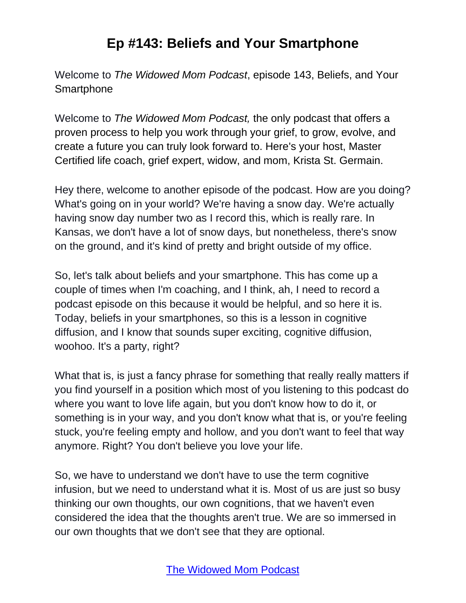Welcome to *The Widowed Mom Podcast*, episode 143, Beliefs, and Your **Smartphone** 

Welcome to *The Widowed Mom Podcast,* the only podcast that offers a proven process to help you work through your grief, to grow, evolve, and create a future you can truly look forward to. Here's your host, Master Certified life coach, grief expert, widow, and mom, Krista St. Germain.

Hey there, welcome to another episode of the podcast. How are you doing? What's going on in your world? We're having a snow day. We're actually having snow day number two as I record this, which is really rare. In Kansas, we don't have a lot of snow days, but nonetheless, there's snow on the ground, and it's kind of pretty and bright outside of my office.

So, let's talk about beliefs and your smartphone. This has come up a couple of times when I'm coaching, and I think, ah, I need to record a podcast episode on this because it would be helpful, and so here it is. Today, beliefs in your smartphones, so this is a lesson in cognitive diffusion, and I know that sounds super exciting, cognitive diffusion, woohoo. It's a party, right?

What that is, is just a fancy phrase for something that really really matters if you find yourself in a position which most of you listening to this podcast do where you want to love life again, but you don't know how to do it, or something is in your way, and you don't know what that is, or you're feeling stuck, you're feeling empty and hollow, and you don't want to feel that way anymore. Right? You don't believe you love your life.

So, we have to understand we don't have to use the term cognitive infusion, but we need to understand what it is. Most of us are just so busy thinking our own thoughts, our own cognitions, that we haven't even considered the idea that the thoughts aren't true. We are so immersed in our own thoughts that we don't see that they are optional.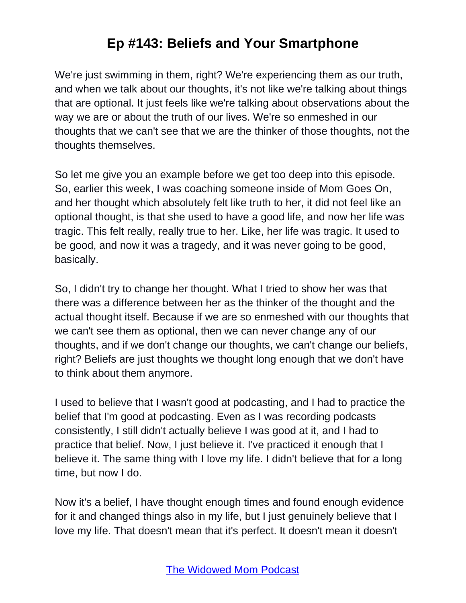We're just swimming in them, right? We're experiencing them as our truth, and when we talk about our thoughts, it's not like we're talking about things that are optional. It just feels like we're talking about observations about the way we are or about the truth of our lives. We're so enmeshed in our thoughts that we can't see that we are the thinker of those thoughts, not the thoughts themselves.

So let me give you an example before we get too deep into this episode. So, earlier this week, I was coaching someone inside of Mom Goes On, and her thought which absolutely felt like truth to her, it did not feel like an optional thought, is that she used to have a good life, and now her life was tragic. This felt really, really true to her. Like, her life was tragic. It used to be good, and now it was a tragedy, and it was never going to be good, basically.

So, I didn't try to change her thought. What I tried to show her was that there was a difference between her as the thinker of the thought and the actual thought itself. Because if we are so enmeshed with our thoughts that we can't see them as optional, then we can never change any of our thoughts, and if we don't change our thoughts, we can't change our beliefs, right? Beliefs are just thoughts we thought long enough that we don't have to think about them anymore.

I used to believe that I wasn't good at podcasting, and I had to practice the belief that I'm good at podcasting. Even as I was recording podcasts consistently, I still didn't actually believe I was good at it, and I had to practice that belief. Now, I just believe it. I've practiced it enough that I believe it. The same thing with I love my life. I didn't believe that for a long time, but now I do.

Now it's a belief, I have thought enough times and found enough evidence for it and changed things also in my life, but I just genuinely believe that I love my life. That doesn't mean that it's perfect. It doesn't mean it doesn't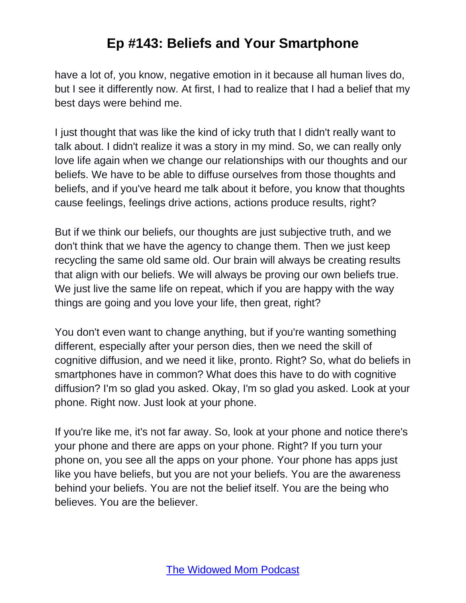have a lot of, you know, negative emotion in it because all human lives do, but I see it differently now. At first, I had to realize that I had a belief that my best days were behind me.

I just thought that was like the kind of icky truth that I didn't really want to talk about. I didn't realize it was a story in my mind. So, we can really only love life again when we change our relationships with our thoughts and our beliefs. We have to be able to diffuse ourselves from those thoughts and beliefs, and if you've heard me talk about it before, you know that thoughts cause feelings, feelings drive actions, actions produce results, right?

But if we think our beliefs, our thoughts are just subjective truth, and we don't think that we have the agency to change them. Then we just keep recycling the same old same old. Our brain will always be creating results that align with our beliefs. We will always be proving our own beliefs true. We just live the same life on repeat, which if you are happy with the way things are going and you love your life, then great, right?

You don't even want to change anything, but if you're wanting something different, especially after your person dies, then we need the skill of cognitive diffusion, and we need it like, pronto. Right? So, what do beliefs in smartphones have in common? What does this have to do with cognitive diffusion? I'm so glad you asked. Okay, I'm so glad you asked. Look at your phone. Right now. Just look at your phone.

If you're like me, it's not far away. So, look at your phone and notice there's your phone and there are apps on your phone. Right? If you turn your phone on, you see all the apps on your phone. Your phone has apps just like you have beliefs, but you are not your beliefs. You are the awareness behind your beliefs. You are not the belief itself. You are the being who believes. You are the believer.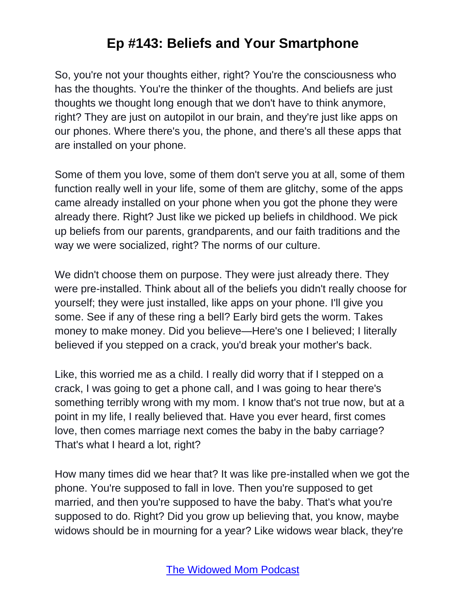So, you're not your thoughts either, right? You're the consciousness who has the thoughts. You're the thinker of the thoughts. And beliefs are just thoughts we thought long enough that we don't have to think anymore, right? They are just on autopilot in our brain, and they're just like apps on our phones. Where there's you, the phone, and there's all these apps that are installed on your phone.

Some of them you love, some of them don't serve you at all, some of them function really well in your life, some of them are glitchy, some of the apps came already installed on your phone when you got the phone they were already there. Right? Just like we picked up beliefs in childhood. We pick up beliefs from our parents, grandparents, and our faith traditions and the way we were socialized, right? The norms of our culture.

We didn't choose them on purpose. They were just already there. They were pre-installed. Think about all of the beliefs you didn't really choose for yourself; they were just installed, like apps on your phone. I'll give you some. See if any of these ring a bell? Early bird gets the worm. Takes money to make money. Did you believe—Here's one I believed; I literally believed if you stepped on a crack, you'd break your mother's back.

Like, this worried me as a child. I really did worry that if I stepped on a crack, I was going to get a phone call, and I was going to hear there's something terribly wrong with my mom. I know that's not true now, but at a point in my life, I really believed that. Have you ever heard, first comes love, then comes marriage next comes the baby in the baby carriage? That's what I heard a lot, right?

How many times did we hear that? It was like pre-installed when we got the phone. You're supposed to fall in love. Then you're supposed to get married, and then you're supposed to have the baby. That's what you're supposed to do. Right? Did you grow up believing that, you know, maybe widows should be in mourning for a year? Like widows wear black, they're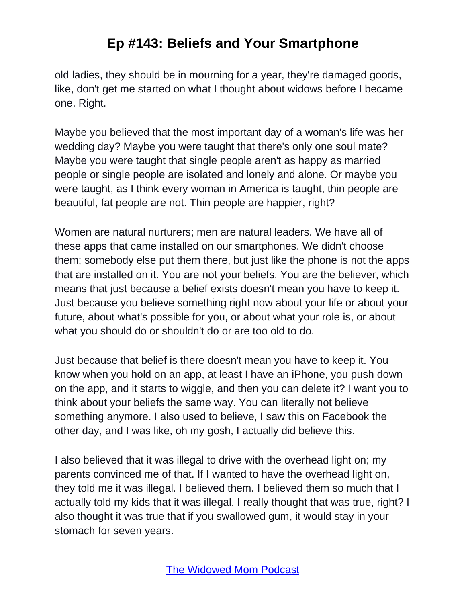old ladies, they should be in mourning for a year, they're damaged goods, like, don't get me started on what I thought about widows before I became one. Right.

Maybe you believed that the most important day of a woman's life was her wedding day? Maybe you were taught that there's only one soul mate? Maybe you were taught that single people aren't as happy as married people or single people are isolated and lonely and alone. Or maybe you were taught, as I think every woman in America is taught, thin people are beautiful, fat people are not. Thin people are happier, right?

Women are natural nurturers; men are natural leaders. We have all of these apps that came installed on our smartphones. We didn't choose them; somebody else put them there, but just like the phone is not the apps that are installed on it. You are not your beliefs. You are the believer, which means that just because a belief exists doesn't mean you have to keep it. Just because you believe something right now about your life or about your future, about what's possible for you, or about what your role is, or about what you should do or shouldn't do or are too old to do.

Just because that belief is there doesn't mean you have to keep it. You know when you hold on an app, at least I have an iPhone, you push down on the app, and it starts to wiggle, and then you can delete it? I want you to think about your beliefs the same way. You can literally not believe something anymore. I also used to believe, I saw this on Facebook the other day, and I was like, oh my gosh, I actually did believe this.

I also believed that it was illegal to drive with the overhead light on; my parents convinced me of that. If I wanted to have the overhead light on, they told me it was illegal. I believed them. I believed them so much that I actually told my kids that it was illegal. I really thought that was true, right? I also thought it was true that if you swallowed gum, it would stay in your stomach for seven years.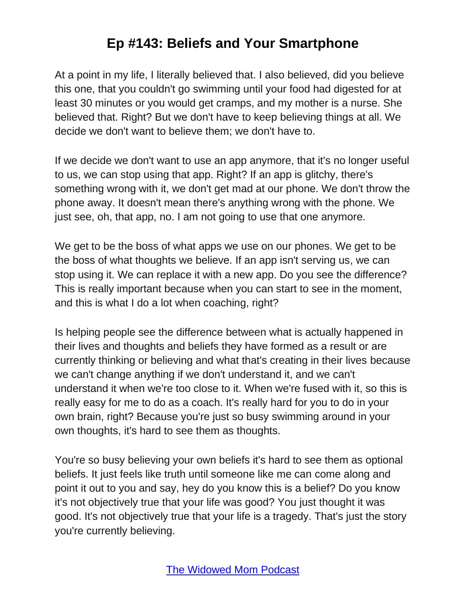At a point in my life, I literally believed that. I also believed, did you believe this one, that you couldn't go swimming until your food had digested for at least 30 minutes or you would get cramps, and my mother is a nurse. She believed that. Right? But we don't have to keep believing things at all. We decide we don't want to believe them; we don't have to.

If we decide we don't want to use an app anymore, that it's no longer useful to us, we can stop using that app. Right? If an app is glitchy, there's something wrong with it, we don't get mad at our phone. We don't throw the phone away. It doesn't mean there's anything wrong with the phone. We just see, oh, that app, no. I am not going to use that one anymore.

We get to be the boss of what apps we use on our phones. We get to be the boss of what thoughts we believe. If an app isn't serving us, we can stop using it. We can replace it with a new app. Do you see the difference? This is really important because when you can start to see in the moment, and this is what I do a lot when coaching, right?

Is helping people see the difference between what is actually happened in their lives and thoughts and beliefs they have formed as a result or are currently thinking or believing and what that's creating in their lives because we can't change anything if we don't understand it, and we can't understand it when we're too close to it. When we're fused with it, so this is really easy for me to do as a coach. It's really hard for you to do in your own brain, right? Because you're just so busy swimming around in your own thoughts, it's hard to see them as thoughts.

You're so busy believing your own beliefs it's hard to see them as optional beliefs. It just feels like truth until someone like me can come along and point it out to you and say, hey do you know this is a belief? Do you know it's not objectively true that your life was good? You just thought it was good. It's not objectively true that your life is a tragedy. That's just the story you're currently believing.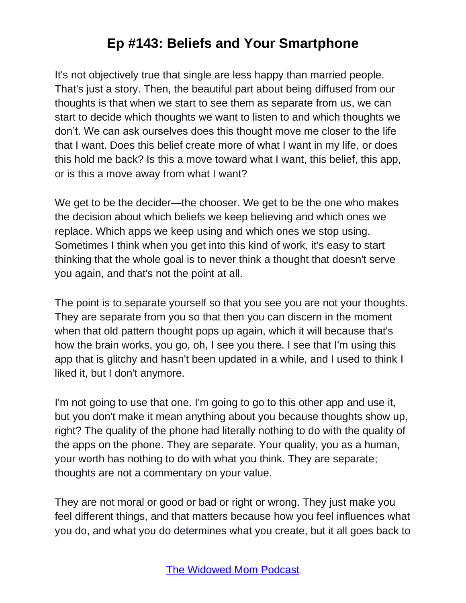It's not objectively true that single are less happy than married people. That's just a story. Then, the beautiful part about being diffused from our thoughts is that when we start to see them as separate from us, we can start to decide which thoughts we want to listen to and which thoughts we don't. We can ask ourselves does this thought move me closer to the life that I want. Does this belief create more of what I want in my life, or does this hold me back? Is this a move toward what I want, this belief, this app, or is this a move away from what I want?

We get to be the decider—the chooser. We get to be the one who makes the decision about which beliefs we keep believing and which ones we replace. Which apps we keep using and which ones we stop using. Sometimes I think when you get into this kind of work, it's easy to start thinking that the whole goal is to never think a thought that doesn't serve you again, and that's not the point at all.

The point is to separate yourself so that you see you are not your thoughts. They are separate from you so that then you can discern in the moment when that old pattern thought pops up again, which it will because that's how the brain works, you go, oh, I see you there. I see that I'm using this app that is glitchy and hasn't been updated in a while, and I used to think I liked it, but I don't anymore.

I'm not going to use that one. I'm going to go to this other app and use it, but you don't make it mean anything about you because thoughts show up, right? The quality of the phone had literally nothing to do with the quality of the apps on the phone. They are separate. Your quality, you as a human, your worth has nothing to do with what you think. They are separate; thoughts are not a commentary on your value.

They are not moral or good or bad or right or wrong. They just make you feel different things, and that matters because how you feel influences what you do, and what you do determines what you create, but it all goes back to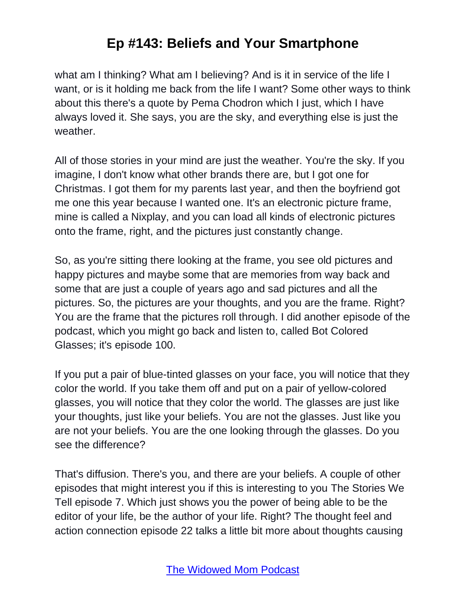what am I thinking? What am I believing? And is it in service of the life I want, or is it holding me back from the life I want? Some other ways to think about this there's a quote by Pema Chodron which I just, which I have always loved it. She says, you are the sky, and everything else is just the weather.

All of those stories in your mind are just the weather. You're the sky. If you imagine, I don't know what other brands there are, but I got one for Christmas. I got them for my parents last year, and then the boyfriend got me one this year because I wanted one. It's an electronic picture frame, mine is called a Nixplay, and you can load all kinds of electronic pictures onto the frame, right, and the pictures just constantly change.

So, as you're sitting there looking at the frame, you see old pictures and happy pictures and maybe some that are memories from way back and some that are just a couple of years ago and sad pictures and all the pictures. So, the pictures are your thoughts, and you are the frame. Right? You are the frame that the pictures roll through. I did another episode of the podcast, which you might go back and listen to, called Bot Colored Glasses; it's episode 100.

If you put a pair of blue-tinted glasses on your face, you will notice that they color the world. If you take them off and put on a pair of yellow-colored glasses, you will notice that they color the world. The glasses are just like your thoughts, just like your beliefs. You are not the glasses. Just like you are not your beliefs. You are the one looking through the glasses. Do you see the difference?

That's diffusion. There's you, and there are your beliefs. A couple of other episodes that might interest you if this is interesting to you The Stories We Tell episode 7. Which just shows you the power of being able to be the editor of your life, be the author of your life. Right? The thought feel and action connection episode 22 talks a little bit more about thoughts causing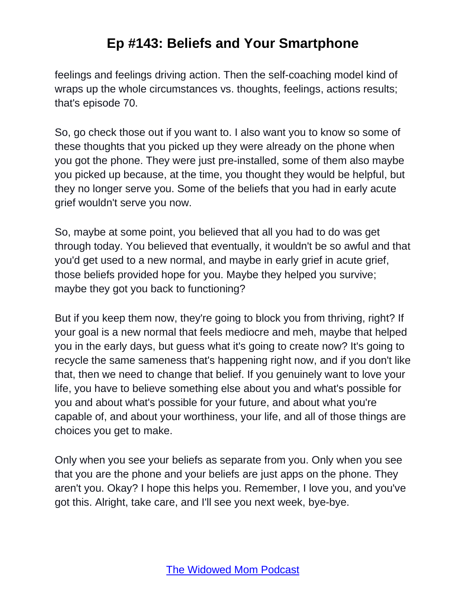feelings and feelings driving action. Then the self-coaching model kind of wraps up the whole circumstances vs. thoughts, feelings, actions results; that's episode 70.

So, go check those out if you want to. I also want you to know so some of these thoughts that you picked up they were already on the phone when you got the phone. They were just pre-installed, some of them also maybe you picked up because, at the time, you thought they would be helpful, but they no longer serve you. Some of the beliefs that you had in early acute grief wouldn't serve you now.

So, maybe at some point, you believed that all you had to do was get through today. You believed that eventually, it wouldn't be so awful and that you'd get used to a new normal, and maybe in early grief in acute grief, those beliefs provided hope for you. Maybe they helped you survive; maybe they got you back to functioning?

But if you keep them now, they're going to block you from thriving, right? If your goal is a new normal that feels mediocre and meh, maybe that helped you in the early days, but guess what it's going to create now? It's going to recycle the same sameness that's happening right now, and if you don't like that, then we need to change that belief. If you genuinely want to love your life, you have to believe something else about you and what's possible for you and about what's possible for your future, and about what you're capable of, and about your worthiness, your life, and all of those things are choices you get to make.

Only when you see your beliefs as separate from you. Only when you see that you are the phone and your beliefs are just apps on the phone. They aren't you. Okay? I hope this helps you. Remember, I love you, and you've got this. Alright, take care, and I'll see you next week, bye-bye.